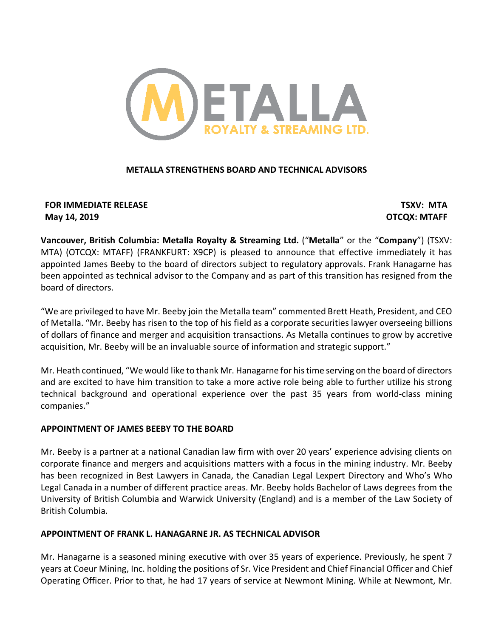

# **METALLA STRENGTHENS BOARD AND TECHNICAL ADVISORS**

# **FOR IMMEDIATE RELEASE TSXV: MTA May 14, 2019 OTCQX: MTAFF**

**Vancouver, British Columbia: Metalla Royalty & Streaming Ltd.** ("**Metalla**" or the "**Company**") (TSXV: MTA) (OTCQX: MTAFF) (FRANKFURT: X9CP) is pleased to announce that effective immediately it has appointed James Beeby to the board of directors subject to regulatory approvals. Frank Hanagarne has been appointed as technical advisor to the Company and as part of this transition has resigned from the board of directors.

"We are privileged to have Mr. Beeby join the Metalla team" commented Brett Heath, President, and CEO of Metalla. "Mr. Beeby has risen to the top of his field as a corporate securities lawyer overseeing billions of dollars of finance and merger and acquisition transactions. As Metalla continues to grow by accretive acquisition, Mr. Beeby will be an invaluable source of information and strategic support."

Mr. Heath continued, "We would like to thank Mr. Hanagarne for his time serving on the board of directors and are excited to have him transition to take a more active role being able to further utilize his strong technical background and operational experience over the past 35 years from world-class mining companies."

# **APPOINTMENT OF JAMES BEEBY TO THE BOARD**

Mr. Beeby is a partner at a national Canadian law firm with over 20 years' experience advising clients on corporate finance and mergers and acquisitions matters with a focus in the mining industry. Mr. Beeby has been recognized in Best Lawyers in Canada, the Canadian Legal Lexpert Directory and Who's Who Legal Canada in a number of different practice areas. Mr. Beeby holds Bachelor of Laws degrees from the University of British Columbia and Warwick University (England) and is a member of the Law Society of British Columbia.

# **APPOINTMENT OF FRANK L. HANAGARNE JR. AS TECHNICAL ADVISOR**

Mr. Hanagarne is a seasoned mining executive with over 35 years of experience. Previously, he spent 7 years at Coeur Mining, Inc. holding the positions of Sr. Vice President and Chief Financial Officer and Chief Operating Officer. Prior to that, he had 17 years of service at Newmont Mining. While at Newmont, Mr.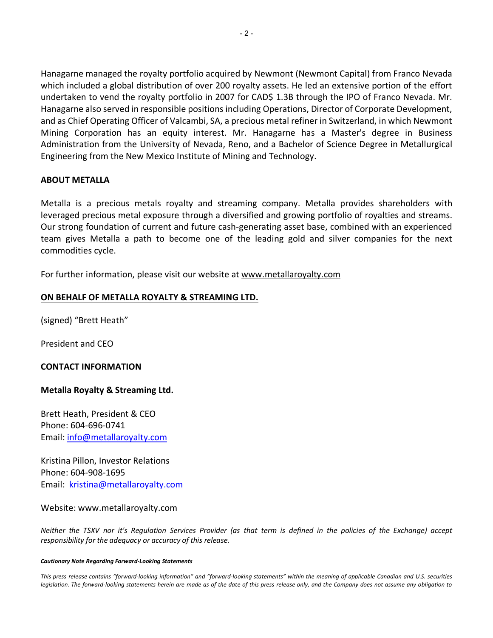Hanagarne managed the royalty portfolio acquired by Newmont (Newmont Capital) from Franco Nevada which included a global distribution of over 200 royalty assets. He led an extensive portion of the effort undertaken to vend the royalty portfolio in 2007 for CAD\$ 1.3B through the IPO of Franco Nevada. Mr. Hanagarne also served in responsible positions including Operations, Director of Corporate Development, and as Chief Operating Officer of Valcambi, SA, a precious metal refiner in Switzerland, in which Newmont Mining Corporation has an equity interest. Mr. Hanagarne has a Master's degree in Business Administration from the University of Nevada, Reno, and a Bachelor of Science Degree in Metallurgical Engineering from the New Mexico Institute of Mining and Technology.

# **ABOUT METALLA**

Metalla is a precious metals royalty and streaming company. Metalla provides shareholders with leveraged precious metal exposure through a diversified and growing portfolio of royalties and streams. Our strong foundation of current and future cash-generating asset base, combined with an experienced team gives Metalla a path to become one of the leading gold and silver companies for the next commodities cycle.

For further information, please visit our website at www.metallaroyalty.com

### **ON BEHALF OF METALLA ROYALTY & STREAMING LTD.**

(signed) "Brett Heath"

President and CEO

#### **CONTACT INFORMATION**

# **Metalla Royalty & Streaming Ltd.**

Brett Heath, President & CEO Phone: 604-696-0741 Email: info@metallaroyalty.com

Kristina Pillon, Investor Relations Phone: 604-908-1695 Email: kristina@metallaroyalty.com

#### Website: www.metallaroyalty.com

*Neither the TSXV nor it's Regulation Services Provider (as that term is defined in the policies of the Exchange) accept responsibility for the adequacy or accuracy of this release.*

#### *Cautionary Note Regarding Forward-Looking Statements*

*This press release contains "forward-looking information" and "forward-looking statements" within the meaning of applicable Canadian and U.S. securities legislation. The forward-looking statements herein are made as of the date of this press release only, and the Company does not assume any obligation to*